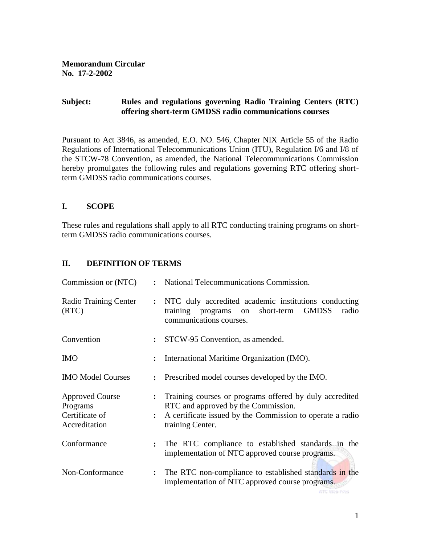**Memorandum Circular No. 17-2-2002**

## **Subject: Rules and regulations governing Radio Training Centers (RTC) offering short-term GMDSS radio communications courses**

Pursuant to Act 3846, as amended, E.O. NO. 546, Chapter NIX Article 55 of the Radio Regulations of International Telecommunications Union (ITU), Regulation I/6 and I/8 of the STCW-78 Convention, as amended, the National Telecommunications Commission hereby promulgates the following rules and regulations governing RTC offering shortterm GMDSS radio communications courses.

# **I. SCOPE**

These rules and regulations shall apply to all RTC conducting training programs on shortterm GMDSS radio communications courses.

# **II. DEFINITION OF TERMS**

| Commission or (NTC)                                                   |                      | : National Telecommunications Commission.                                                                                                                                       |  |  |
|-----------------------------------------------------------------------|----------------------|---------------------------------------------------------------------------------------------------------------------------------------------------------------------------------|--|--|
| Radio Training Center<br>(RTC)                                        |                      | : NTC duly accredited academic institutions conducting<br><b>GMDSS</b><br>short-term<br>training programs<br>radio<br>on<br>communications courses.                             |  |  |
| Convention                                                            |                      | : STCW-95 Convention, as amended.                                                                                                                                               |  |  |
| <b>IMO</b>                                                            |                      | International Maritime Organization (IMO).                                                                                                                                      |  |  |
| <b>IMO Model Courses</b>                                              | $\ddot{\cdot}$       | Prescribed model courses developed by the IMO.                                                                                                                                  |  |  |
| <b>Approved Course</b><br>Programs<br>Certificate of<br>Accreditation | $\ddot{\cdot}$       | Training courses or programs offered by duly accredited<br>RTC and approved by the Commission.<br>A certificate issued by the Commission to operate a radio<br>training Center. |  |  |
| Conformance                                                           | $\ddot{\phantom{a}}$ | The RTC compliance to established standards in the<br>implementation of NTC approved course programs.                                                                           |  |  |
| Non-Conformance                                                       | $\ddot{\cdot}$       | The RTC non-compliance to established standards in the<br>implementation of NTC approved course programs.<br>NTC Wab Fdes                                                       |  |  |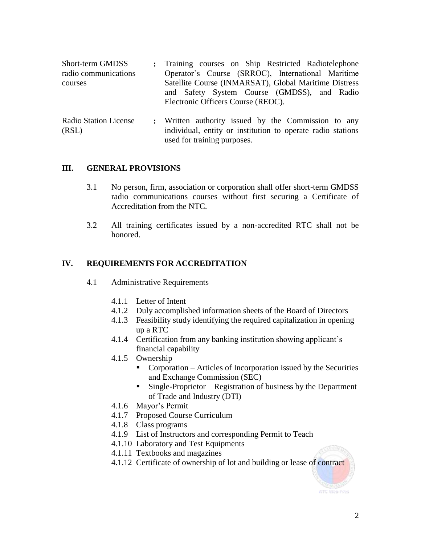| Short-term GMDSS<br>radio communications | : Training courses on Ship Restricted Radiotelephone<br>Operator's Course (SRROC), International Maritime |
|------------------------------------------|-----------------------------------------------------------------------------------------------------------|
| courses                                  | Satellite Course (INMARSAT), Global Maritime Distress<br>and Safety System Course (GMDSS), and Radio      |
|                                          | Electronic Officers Course (REOC).                                                                        |
|                                          |                                                                                                           |

Radio Station License (RSL) **:** Written authority issued by the Commission to any individual, entity or institution to operate radio stations used for training purposes.

## **III. GENERAL PROVISIONS**

- 3.1 No person, firm, association or corporation shall offer short-term GMDSS radio communications courses without first securing a Certificate of Accreditation from the NTC.
- 3.2 All training certificates issued by a non-accredited RTC shall not be honored.

# **IV. REQUIREMENTS FOR ACCREDITATION**

- 4.1 Administrative Requirements
	- 4.1.1 Letter of Intent
	- 4.1.2 Duly accomplished information sheets of the Board of Directors
	- 4.1.3 Feasibility study identifying the required capitalization in opening up a RTC
	- 4.1.4 Certification from any banking institution showing applicant's financial capability
	- 4.1.5 Ownership
		- Corporation Articles of Incorporation issued by the Securities and Exchange Commission (SEC)
		- $\blacksquare$  Single-Proprietor Registration of business by the Department of Trade and Industry (DTI)
	- 4.1.6 Mayor's Permit
	- 4.1.7 Proposed Course Curriculum
	- 4.1.8 Class programs
	- 4.1.9 List of Instructors and corresponding Permit to Teach
	- 4.1.10 Laboratory and Test Equipments
	- 4.1.11 Textbooks and magazines
	- 4.1.12 Certificate of ownership of lot and building or lease of contract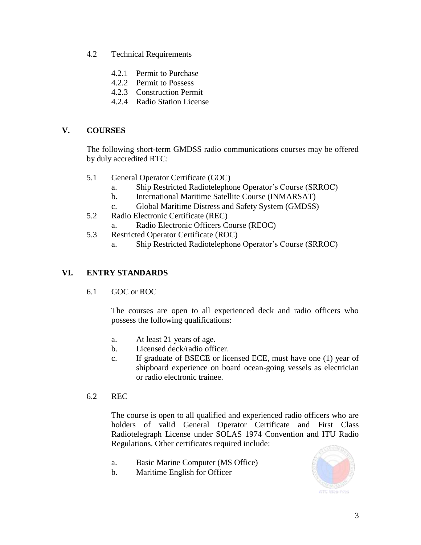- 4.2 Technical Requirements
	- 4.2.1 Permit to Purchase
	- 4.2.2 Permit to Possess
	- 4.2.3 Construction Permit
	- 4.2.4 Radio Station License

# **V. COURSES**

The following short-term GMDSS radio communications courses may be offered by duly accredited RTC:

- 5.1 General Operator Certificate (GOC)
	- a. Ship Restricted Radiotelephone Operator's Course (SRROC)
	- b. International Maritime Satellite Course (INMARSAT)
	- c. Global Maritime Distress and Safety System (GMDSS)
- 5.2 Radio Electronic Certificate (REC)
	- a. Radio Electronic Officers Course (REOC)
- 5.3 Restricted Operator Certificate (ROC)
	- a. Ship Restricted Radiotelephone Operator's Course (SRROC)

# **VI. ENTRY STANDARDS**

6.1 GOC or ROC

The courses are open to all experienced deck and radio officers who possess the following qualifications:

- a. At least 21 years of age.
- b. Licensed deck/radio officer.
- c. If graduate of BSECE or licensed ECE, must have one (1) year of shipboard experience on board ocean-going vessels as electrician or radio electronic trainee.
- 6.2 REC

The course is open to all qualified and experienced radio officers who are holders of valid General Operator Certificate and First Class Radiotelegraph License under SOLAS 1974 Convention and ITU Radio Regulations. Other certificates required include:

- a. Basic Marine Computer (MS Office)
- b. Maritime English for Officer

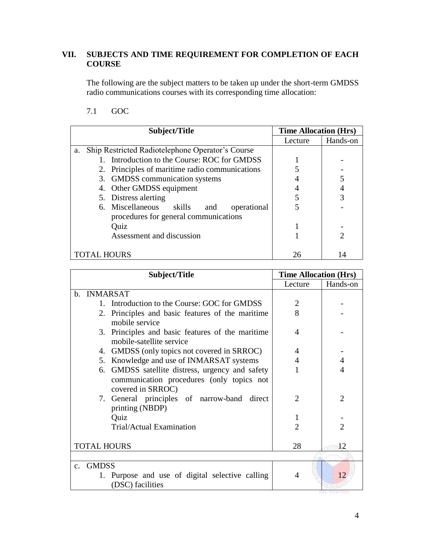# **VII. SUBJECTS AND TIME REQUIREMENT FOR COMPLETION OF EACH COURSE**

The following are the subject matters to be taken up under the short-term GMDSS radio communications courses with its corresponding time allocation:

7.1 GOC

| Subject/Title                                          | <b>Time Allocation (Hrs)</b> |          |
|--------------------------------------------------------|------------------------------|----------|
|                                                        | Lecture                      | Hands-on |
| Ship Restricted Radiotelephone Operator's Course<br>a. |                              |          |
| Introduction to the Course: ROC for GMDSS              |                              |          |
| 2. Principles of maritime radio communications         |                              |          |
| 3. GMDSS communication systems                         |                              |          |
| 4. Other GMDSS equipment                               |                              |          |
| 5. Distress alerting                                   | 5                            |          |
| 6. Miscellaneous<br>skills<br>operational<br>and       |                              |          |
| procedures for general communications                  |                              |          |
| Quiz                                                   |                              |          |
| Assessment and discussion                              |                              |          |
|                                                        |                              |          |
| <b>TOTAL HOURS</b>                                     | 26                           |          |

| Subject/Title                                                                                                     | <b>Time Allocation (Hrs)</b> |                |  |  |  |
|-------------------------------------------------------------------------------------------------------------------|------------------------------|----------------|--|--|--|
|                                                                                                                   | Lecture                      | Hands-on       |  |  |  |
| b. INMARSAT                                                                                                       |                              |                |  |  |  |
| 1. Introduction to the Course: GOC for GMDSS                                                                      | $\overline{2}$               |                |  |  |  |
| 2. Principles and basic features of the maritime<br>mobile service                                                | 8                            |                |  |  |  |
| 3. Principles and basic features of the maritime<br>mobile-satellite service                                      | 4                            |                |  |  |  |
| 4. GMDSS (only topics not covered in SRROC)                                                                       | 4                            |                |  |  |  |
| Knowledge and use of INMARSAT systems<br>5.                                                                       | 4                            | 4              |  |  |  |
| 6. GMDSS satellite distress, urgency and safety<br>communication procedures (only topics not<br>covered in SRROC) |                              |                |  |  |  |
| 7. General principles of narrow-band<br>direct<br>printing (NBDP)                                                 | $\mathfrak{D}$               | $\overline{2}$ |  |  |  |
| Quiz                                                                                                              | 1                            |                |  |  |  |
| Trial/Actual Examination                                                                                          | $\overline{c}$               | $\mathfrak{D}$ |  |  |  |
| <b>TOTAL HOURS</b>                                                                                                | 28                           | 12             |  |  |  |
|                                                                                                                   |                              |                |  |  |  |
| <b>GMDSS</b><br>$\mathbf{c}$ .<br>1. Purpose and use of digital selective calling<br>(DSC) facilities             | 4                            | 12             |  |  |  |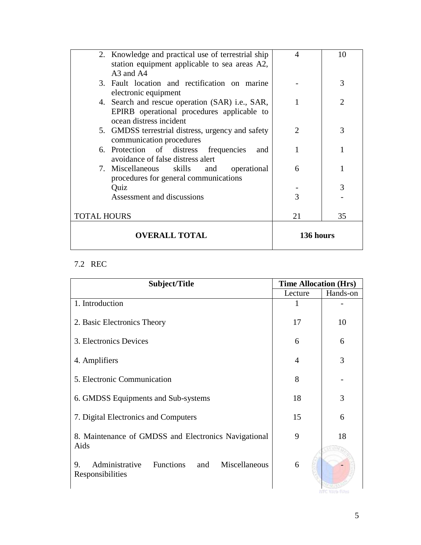|                    | 2. Knowledge and practical use of terrestrial ship | 4             | 10             |
|--------------------|----------------------------------------------------|---------------|----------------|
|                    | station equipment applicable to sea areas A2,      |               |                |
|                    | A3 and A4                                          |               |                |
|                    | 3. Fault location and rectification on marine      |               | 3              |
|                    | electronic equipment                               |               |                |
|                    | 4. Search and rescue operation (SAR) i.e., SAR,    | 1             | $\mathfrak{D}$ |
|                    | EPIRB operational procedures applicable to         |               |                |
|                    | ocean distress incident                            |               |                |
|                    | 5. GMDSS terrestrial distress, urgency and safety  | $\mathcal{D}$ | 3              |
|                    | communication procedures                           |               |                |
|                    | 6. Protection of distress frequencies<br>and       |               |                |
|                    | avoidance of false distress alert                  |               |                |
|                    | 7. Miscellaneous skills<br>operational<br>and      | 6             |                |
|                    | procedures for general communications              |               |                |
|                    | Quiz                                               |               | 3              |
|                    | Assessment and discussions                         | 3             |                |
|                    |                                                    |               |                |
| <b>TOTAL HOURS</b> |                                                    | 21            | 35             |
|                    |                                                    |               |                |
|                    | <b>OVERALL TOTAL</b>                               | 136 hours     |                |
|                    |                                                    |               |                |

# 7.2 REC

| Subject/Title                                                              | <b>Time Allocation (Hrs)</b> |          |  |
|----------------------------------------------------------------------------|------------------------------|----------|--|
|                                                                            | Lecture                      | Hands-on |  |
| 1. Introduction                                                            |                              |          |  |
| 2. Basic Electronics Theory                                                | 17                           | 10       |  |
| 3. Electronics Devices                                                     | 6                            | 6        |  |
| 4. Amplifiers                                                              | 4                            | 3        |  |
| 5. Electronic Communication                                                | 8                            |          |  |
| 6. GMDSS Equipments and Sub-systems                                        | 18                           | 3        |  |
| 7. Digital Electronics and Computers                                       | 15                           | 6        |  |
| 8. Maintenance of GMDSS and Electronics Navigational<br>Aids               | 9                            | 18       |  |
| Administrative<br>Functions and<br>9.<br>Miscellaneous<br>Responsibilities | 6                            | ne war   |  |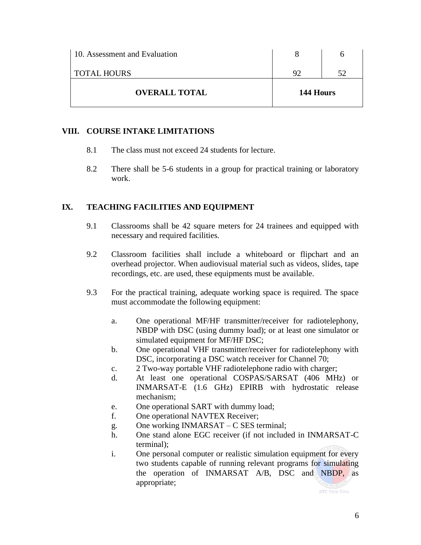| <b>OVERALL TOTAL</b>          | 144 Hours |  |
|-------------------------------|-----------|--|
| <b>TOTAL HOURS</b>            | QΩ        |  |
| 10. Assessment and Evaluation |           |  |

# **VIII. COURSE INTAKE LIMITATIONS**

- 8.1 The class must not exceed 24 students for lecture.
- 8.2 There shall be 5-6 students in a group for practical training or laboratory work.

## **IX. TEACHING FACILITIES AND EQUIPMENT**

- 9.1 Classrooms shall be 42 square meters for 24 trainees and equipped with necessary and required facilities.
- 9.2 Classroom facilities shall include a whiteboard or flipchart and an overhead projector. When audiovisual material such as videos, slides, tape recordings, etc. are used, these equipments must be available.
- 9.3 For the practical training, adequate working space is required. The space must accommodate the following equipment:
	- a. One operational MF/HF transmitter/receiver for radiotelephony, NBDP with DSC (using dummy load); or at least one simulator or simulated equipment for MF/HF DSC;
	- b. One operational VHF transmitter/receiver for radiotelephony with DSC, incorporating a DSC watch receiver for Channel 70;
	- c. 2 Two-way portable VHF radiotelephone radio with charger;
	- d. At least one operational COSPAS/SARSAT (406 MHz) or INMARSAT-E (1.6 GHz) EPIRB with hydrostatic release mechanism;
	- e. One operational SART with dummy load;
	- f. One operational NAVTEX Receiver;
	- g. One working INMARSAT C SES terminal;
	- h. One stand alone EGC receiver (if not included in INMARSAT-C terminal);
	- i. One personal computer or realistic simulation equipment for every two students capable of running relevant programs for simulating the operation of INMARSAT A/B, DSC and NBDP, as appropriate;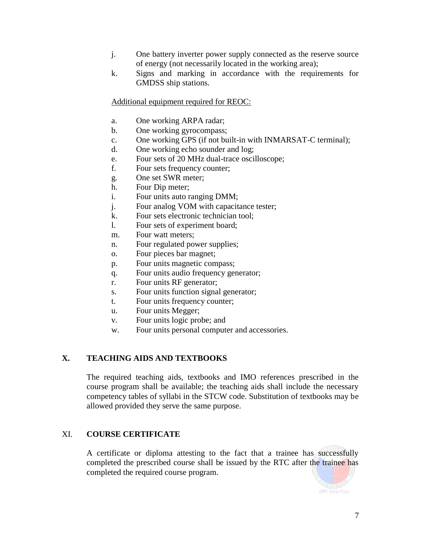- j. One battery inverter power supply connected as the reserve source of energy (not necessarily located in the working area);
- k. Signs and marking in accordance with the requirements for GMDSS ship stations.

Additional equipment required for REOC:

- a. One working ARPA radar;
- b. One working gyrocompass;
- c. One working GPS (if not built-in with INMARSAT-C terminal);
- d. One working echo sounder and log;
- e. Four sets of 20 MHz dual-trace oscilloscope;
- f. Four sets frequency counter;
- g. One set SWR meter;
- h. Four Dip meter;
- i. Four units auto ranging DMM;
- j. Four analog VOM with capacitance tester;
- k. Four sets electronic technician tool;
- l. Four sets of experiment board;
- m. Four watt meters;
- n. Four regulated power supplies;
- o. Four pieces bar magnet;
- p. Four units magnetic compass;
- q. Four units audio frequency generator;
- r. Four units RF generator;
- s. Four units function signal generator;
- t. Four units frequency counter;
- u. Four units Megger;
- v. Four units logic probe; and
- w. Four units personal computer and accessories.

# **X. TEACHING AIDS AND TEXTBOOKS**

The required teaching aids, textbooks and IMO references prescribed in the course program shall be available; the teaching aids shall include the necessary competency tables of syllabi in the STCW code. Substitution of textbooks may be allowed provided they serve the same purpose.

# XI. **COURSE CERTIFICATE**

A certificate or diploma attesting to the fact that a trainee has successfully completed the prescribed course shall be issued by the RTC after the trainee has completed the required course program.

NTC Wah Files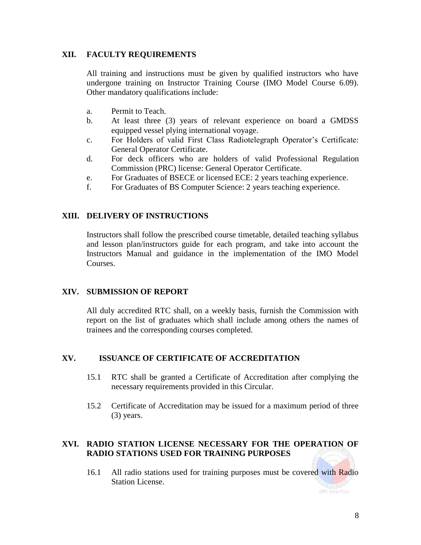# **XII. FACULTY REQUIREMENTS**

All training and instructions must be given by qualified instructors who have undergone training on Instructor Training Course (IMO Model Course 6.09). Other mandatory qualifications include:

- a. Permit to Teach.
- b. At least three (3) years of relevant experience on board a GMDSS equipped vessel plying international voyage.
- c. For Holders of valid First Class Radiotelegraph Operator's Certificate: General Operator Certificate.
- d. For deck officers who are holders of valid Professional Regulation Commission (PRC) license: General Operator Certificate.
- e. For Graduates of BSECE or licensed ECE: 2 years teaching experience.
- f. For Graduates of BS Computer Science: 2 years teaching experience.

## **XIII. DELIVERY OF INSTRUCTIONS**

Instructors shall follow the prescribed course timetable, detailed teaching syllabus and lesson plan/instructors guide for each program, and take into account the Instructors Manual and guidance in the implementation of the IMO Model Courses.

#### **XIV. SUBMISSION OF REPORT**

All duly accredited RTC shall, on a weekly basis, furnish the Commission with report on the list of graduates which shall include among others the names of trainees and the corresponding courses completed.

#### **XV. ISSUANCE OF CERTIFICATE OF ACCREDITATION**

- 15.1 RTC shall be granted a Certificate of Accreditation after complying the necessary requirements provided in this Circular.
- 15.2 Certificate of Accreditation may be issued for a maximum period of three (3) years.

# **XVI. RADIO STATION LICENSE NECESSARY FOR THE OPERATION OF RADIO STATIONS USED FOR TRAINING PURPOSES**

16.1 All radio stations used for training purposes must be covered with Radio Station License.

NTC Wah Files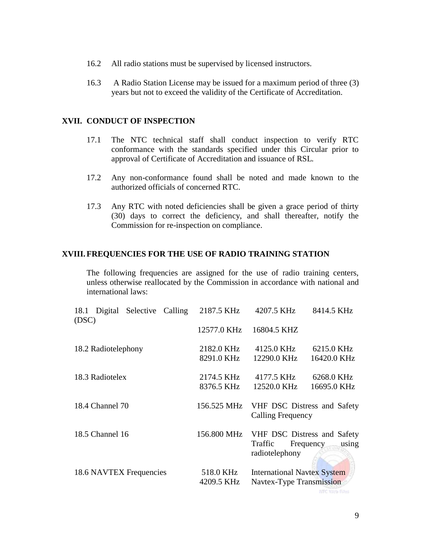- 16.2 All radio stations must be supervised by licensed instructors.
- 16.3 A Radio Station License may be issued for a maximum period of three (3) years but not to exceed the validity of the Certificate of Accreditation.

#### **XVII. CONDUCT OF INSPECTION**

- 17.1 The NTC technical staff shall conduct inspection to verify RTC conformance with the standards specified under this Circular prior to approval of Certificate of Accreditation and issuance of RSL.
- 17.2 Any non-conformance found shall be noted and made known to the authorized officials of concerned RTC.
- 17.3 Any RTC with noted deficiencies shall be given a grace period of thirty (30) days to correct the deficiency, and shall thereafter, notify the Commission for re-inspection on compliance.

#### **XVIII. FREQUENCIES FOR THE USE OF RADIO TRAINING STATION**

The following frequencies are assigned for the use of radio training centers, unless otherwise reallocated by the Commission in accordance with national and international laws:

| 18.1 Digital Selective Calling<br>(DSC) | 2187.5 KHz              | 4207.5 KHz                                                     | 8414.5 KHz                                        |
|-----------------------------------------|-------------------------|----------------------------------------------------------------|---------------------------------------------------|
|                                         | 12577.0 KHz             | 16804.5 KHZ                                                    |                                                   |
| 18.2 Radiotelephony                     | 2182.0 KHz              | 4125.0 KHz                                                     | 6215.0 KHz                                        |
|                                         | 8291.0 KHz              | 12290.0 KHz                                                    | 16420.0 KHz                                       |
| 18.3 Radiotelex                         | 2174.5 KHz              | 4177.5 KHz                                                     | 6268.0 KHz                                        |
|                                         | 8376.5 KHz              | 12520.0 KHz                                                    | 16695.0 KHz                                       |
| 18.4 Channel 70                         | 156.525 MHz             | <b>Calling Frequency</b>                                       | VHF DSC Distress and Safety                       |
| 18.5 Channel 16                         | 156.800 MHz             | Traffic<br>radiotelephony                                      | VHF DSC Distress and Safety<br>Frequency<br>using |
| 18.6 NAVTEX Frequencies                 | 518.0 KHz<br>4209.5 KHz | <b>International Navtex System</b><br>Navtex-Type Transmission |                                                   |
|                                         |                         |                                                                | NTC Web Files                                     |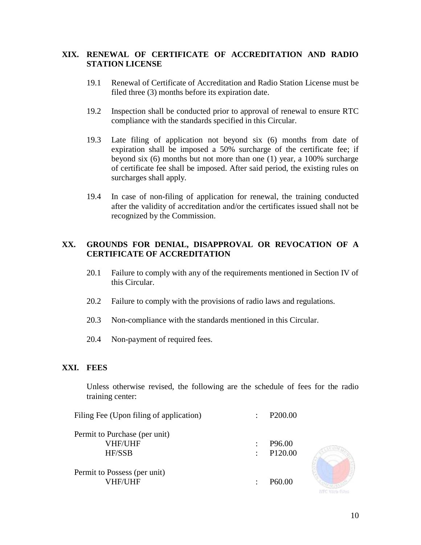# **XIX. RENEWAL OF CERTIFICATE OF ACCREDITATION AND RADIO STATION LICENSE**

- 19.1 Renewal of Certificate of Accreditation and Radio Station License must be filed three (3) months before its expiration date.
- 19.2 Inspection shall be conducted prior to approval of renewal to ensure RTC compliance with the standards specified in this Circular.
- 19.3 Late filing of application not beyond six (6) months from date of expiration shall be imposed a 50% surcharge of the certificate fee; if beyond six (6) months but not more than one (1) year, a 100% surcharge of certificate fee shall be imposed. After said period, the existing rules on surcharges shall apply.
- 19.4 In case of non-filing of application for renewal, the training conducted after the validity of accreditation and/or the certificates issued shall not be recognized by the Commission.

## **XX. GROUNDS FOR DENIAL, DISAPPROVAL OR REVOCATION OF A CERTIFICATE OF ACCREDITATION**

- 20.1 Failure to comply with any of the requirements mentioned in Section IV of this Circular.
- 20.2 Failure to comply with the provisions of radio laws and regulations.
- 20.3 Non-compliance with the standards mentioned in this Circular.
- 20.4 Non-payment of required fees.

#### **XXI. FEES**

Unless otherwise revised, the following are the schedule of fees for the radio training center:

| Filing Fee (Upon filing of application) | $\ddot{\cdot}$            | P <sub>200.00</sub> |
|-----------------------------------------|---------------------------|---------------------|
| Permit to Purchase (per unit)           |                           |                     |
| <b>VHF/UHF</b>                          |                           | P <sub>96.00</sub>  |
| <b>HF/SSB</b>                           | $\mathbb{R}^{\mathbb{Z}}$ | P <sub>120.00</sub> |
| Permit to Possess (per unit)            |                           |                     |
| VHF/UHF                                 |                           | P <sub>60.00</sub>  |